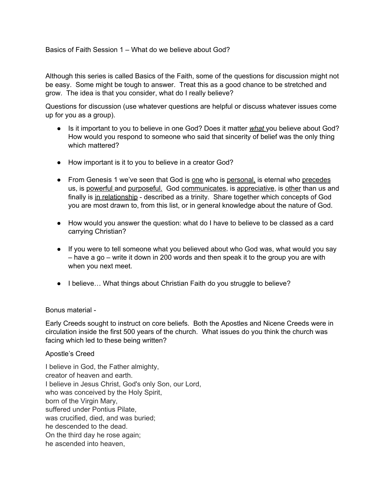Basics of Faith Session 1 – What do we believe about God?

Although this series is called Basics of the Faith, some of the questions for discussion might not be easy. Some might be tough to answer. Treat this as a good chance to be stretched and grow. The idea is that you consider, what do I really believe?

Questions for discussion (use whatever questions are helpful or discuss whatever issues come up for you as a group).

- Is it important to you to believe in one God? Does it matter *what* you believe about God? How would you respond to someone who said that sincerity of belief was the only thing which mattered?
- How important is it to you to believe in a creator God?
- From Genesis 1 we've seen that God is one who is personal, is eternal who precedes us, is powerful and purposeful. God communicates, is appreciative, is other than us and finally is in relationship - described as a trinity. Share together which concepts of God you are most drawn to, from this list, or in general knowledge about the nature of God.
- How would you answer the question: what do I have to believe to be classed as a card carrying Christian?
- If you were to tell someone what you believed about who God was, what would you say – have a go – write it down in 200 words and then speak it to the group you are with when you next meet.
- I believe... What things about Christian Faith do you struggle to believe?

## Bonus material -

Early Creeds sought to instruct on core beliefs. Both the Apostles and Nicene Creeds were in circulation inside the first 500 years of the church. What issues do you think the church was facing which led to these being written?

## Apostle's Creed

I believe in God, the Father almighty, creator of heaven and earth. I believe in Jesus Christ, God's only Son, our Lord, who was conceived by the Holy Spirit, born of the Virgin Mary, suffered under Pontius Pilate, was crucified, died, and was buried; he descended to the dead. On the third day he rose again; he ascended into heaven,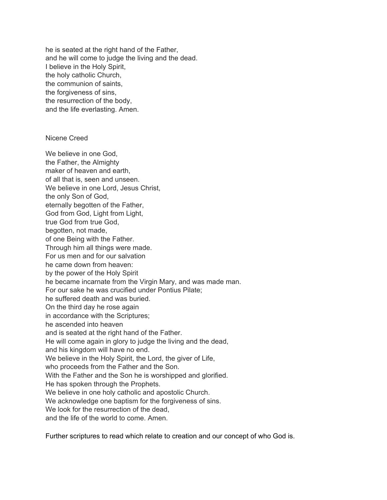he is seated at the right hand of the Father, and he will come to judge the living and the dead. I believe in the Holy Spirit, the holy catholic Church, the communion of saints, the forgiveness of sins, the resurrection of the body, and the life everlasting. Amen.

Nicene Creed

We believe in one God, the Father, the Almighty maker of heaven and earth, of all that is, seen and unseen. We believe in one Lord, Jesus Christ, the only Son of God, eternally begotten of the Father, God from God, Light from Light, true God from true God, begotten, not made, of one Being with the Father. Through him all things were made. For us men and for our salvation he came down from heaven: by the power of the Holy Spirit he became incarnate from the Virgin Mary, and was made man. For our sake he was crucified under Pontius Pilate; he suffered death and was buried. On the third day he rose again in accordance with the Scriptures; he ascended into heaven and is seated at the right hand of the Father. He will come again in glory to judge the living and the dead, and his kingdom will have no end. We believe in the Holy Spirit, the Lord, the giver of Life, who proceeds from the Father and the Son. With the Father and the Son he is worshipped and glorified. He has spoken through the Prophets. We believe in one holy catholic and apostolic Church. We acknowledge one baptism for the forgiveness of sins. We look for the resurrection of the dead. and the life of the world to come. Amen.

Further scriptures to read which relate to creation and our concept of who God is.